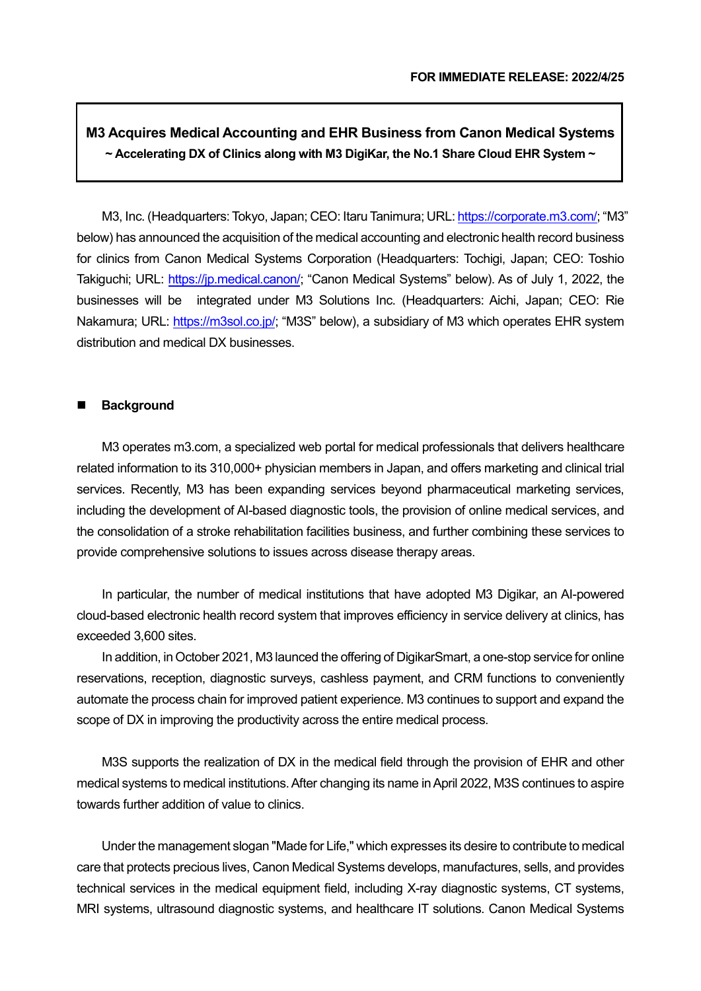# **M3 Acquires Medical Accounting and EHR Business from Canon Medical Systems ~ Accelerating DX of Clinics along with M3 DigiKar, the No.1 Share Cloud EHR System ~**

M3, Inc. (Headquarters: Tokyo, Japan; CEO: Itaru Tanimura; URL[: https://corporate.m3.com/;](https://corporate.m3.com/) "M3" below) has announced the acquisition of the medical accounting and electronic health record business for clinics from Canon Medical Systems Corporation (Headquarters: Tochigi, Japan; CEO: Toshio Takiguchi; URL: [https://jp.medical.canon/;](https://jp.medical.canon/) "Canon Medical Systems" below). As of July 1, 2022, the businesses will be integrated under M3 Solutions Inc. (Headquarters: Aichi, Japan; CEO: Rie Nakamura; URL: [https://m3sol.co.jp/;](https://m3sol.co.jp/) "M3S" below), a subsidiary of M3 which operates EHR system distribution and medical DX businesses.

## **Background**

M3 operates m3.com, a specialized web portal for medical professionals that delivers healthcare related information to its 310,000+ physician members in Japan, and offers marketing and clinical trial services. Recently, M3 has been expanding services beyond pharmaceutical marketing services, including the development of AI-based diagnostic tools, the provision of online medical services, and the consolidation of a stroke rehabilitation facilities business, and further combining these services to provide comprehensive solutions to issues across disease therapy areas.

In particular, the number of medical institutions that have adopted M3 Digikar, an AI-powered cloud-based electronic health record system that improves efficiency in service delivery at clinics, has exceeded 3,600 sites.

In addition, in October 2021, M3 launced the offering of DigikarSmart, a one-stop service for online reservations, reception, diagnostic surveys, cashless payment, and CRM functions to conveniently automate the process chain for improved patient experience. M3 continues to support and expand the scope of DX in improving the productivity across the entire medical process.

M3S supports the realization of DX in the medical field through the provision of EHR and other medical systems to medical institutions. After changing its name in April 2022, M3S continues to aspire towards further addition of value to clinics.

Under the management slogan "Made for Life," which expresses its desire to contribute to medical care that protects precious lives, Canon Medical Systems develops, manufactures, sells, and provides technical services in the medical equipment field, including X-ray diagnostic systems, CT systems, MRI systems, ultrasound diagnostic systems, and healthcare IT solutions. Canon Medical Systems